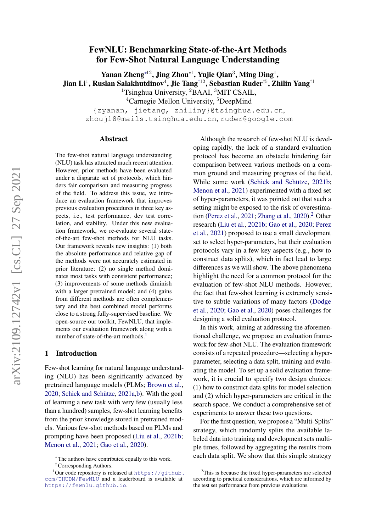# FewNLU: Benchmarking State-of-the-Art Methods for Few-Shot Natural Language Understanding

Yanan Zheng<sup>∗12</sup>, Jing Zhou<sup>∗1</sup>, Yujie Qian<sup>3</sup>, Ming Ding<sup>1</sup>, Jian Li $^1$ , Ruslan Salakhutdinov $^4$ , Jie Tang $^{\dagger 12}$ , Sebastian Ruder $^{\dagger 5}$ , Zhilin Yang $^{\dagger 1}$ 

<sup>1</sup>Tsinghua University, <sup>2</sup>BAAI, <sup>3</sup>MIT CSAIL,

<sup>4</sup>Carnegie Mellon University, <sup>5</sup>DeepMind

{zyanan, jietang, zhiliny}@tsinghua.edu.cn, zhouj18@mails.tsinghua.edu.cn, ruder@google.com

#### Abstract

The few-shot natural language understanding (NLU) task has attracted much recent attention. However, prior methods have been evaluated under a disparate set of protocols, which hinders fair comparison and measuring progress of the field. To address this issue, we introduce an evaluation framework that improves previous evaluation procedures in three key aspects, i.e., test performance, dev test correlation, and stability. Under this new evaluation framework, we re-evaluate several stateof-the-art few-shot methods for NLU tasks. Our framework reveals new insights: (1) both the absolute performance and relative gap of the methods were not accurately estimated in prior literature; (2) no single method dominates most tasks with consistent performance; (3) improvements of some methods diminish with a larger pretrained model; and (4) gains from different methods are often complementary and the best combined model performs close to a strong fully-supervised baseline. We open-source our toolkit, FewNLU, that implements our evaluation framework along with a number of state-of-the-art methods.<sup>[1](#page-0-0)</sup>

#### 1 Introduction

Few-shot learning for natural language understanding (NLU) has been significantly advanced by pretrained language models (PLMs; [Brown et al.,](#page-9-0) [2020;](#page-9-0) [Schick and Schütze,](#page-10-0) [2021a](#page-10-0)[,b\)](#page-10-1). With the goal of learning a new task with very few (usually less than a hundred) samples, few-shot learning benefits from the prior knowledge stored in pretrained models. Various few-shot methods based on PLMs and prompting have been proposed [\(Liu et al.,](#page-10-2) [2021b;](#page-10-2) [Menon et al.,](#page-10-3) [2021;](#page-10-3) [Gao et al.,](#page-10-4) [2020\)](#page-10-4).

Although the research of few-shot NLU is developing rapidly, the lack of a standard evaluation protocol has become an obstacle hindering fair comparison between various methods on a common ground and measuring progress of the field. While some work [\(Schick and Schütze,](#page-10-1) [2021b;](#page-10-1) [Menon et al.,](#page-10-3) [2021\)](#page-10-3) experimented with a fixed set of hyper-parameters, it was pointed out that such a setting might be exposed to the risk of overestima-tion [\(Perez et al.,](#page-10-5) [2021;](#page-10-5) [Zhang et al.,](#page-11-0) [2020\)](#page-11-0).<sup>[2](#page-0-1)</sup> Other research [\(Liu et al.,](#page-10-2) [2021b;](#page-10-2) [Gao et al.,](#page-10-4) [2020;](#page-10-4) [Perez](#page-10-5) [et al.,](#page-10-5) [2021\)](#page-10-5) proposed to use a small development set to select hyper-parameters, but their evaluation protocols vary in a few key aspects (e.g., how to construct data splits), which in fact lead to large differences as we will show. The above phenomena highlight the need for a common protocol for the evaluation of few-shot NLU methods. However, the fact that few-shot learning is extremely sensitive to subtle variations of many factors [\(Dodge](#page-10-6) [et al.,](#page-10-6) [2020;](#page-10-6) [Gao et al.,](#page-10-4) [2020\)](#page-10-4) poses challenges for designing a solid evaluation protocol.

In this work, aiming at addressing the aforementioned challenge, we propose an evaluation framework for few-shot NLU. The evaluation framework consists of a repeated procedure—selecting a hyperparameter, selecting a data split, training and evaluating the model. To set up a solid evaluation framework, it is crucial to specify two design choices: (1) how to construct data splits for model selection and (2) which hyper-parameters are critical in the search space. We conduct a comprehensive set of experiments to answer these two questions.

For the first question, we propose a "Multi-Splits" strategy, which randomly splits the available labeled data into training and development sets multiple times, followed by aggregating the results from each data split. We show that this simple strategy

<sup>∗</sup> The authors have contributed equally to this work.

<span id="page-0-0"></span><sup>†</sup>Corresponding Authors.

 $1$ Our code repository is released at [https://github.](https://github.com/THUDM/FewNLU) [com/THUDM/FewNLU](https://github.com/THUDM/FewNLU) and a leaderboard is available at <https://fewnlu.github.io>.

<span id="page-0-1"></span><sup>&</sup>lt;sup>2</sup>This is because the fixed hyper-parameters are selected according to practical considerations, which are informed by the test set performance from previous evaluations.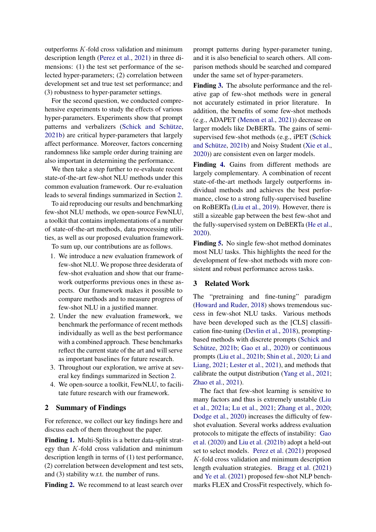outperforms  $K$ -fold cross validation and minimum description length [\(Perez et al.,](#page-10-5) [2021\)](#page-10-5) in three dimensions: (1) the test set performance of the selected hyper-parameters; (2) correlation between development set and true test set performance; and (3) robustness to hyper-parameter settings.

For the second question, we conducted comprehensive experiments to study the effects of various hyper-parameters. Experiments show that prompt patterns and verbalizers [\(Schick and Schütze,](#page-10-1) [2021b\)](#page-10-1) are critical hyper-parameters that largely affect performance. Moreover, factors concerning randomness like sample order during training are also important in determining the performance.

We then take a step further to re-evaluate recent state-of-the-art few-shot NLU methods under this common evaluation framework. Our re-evaluation leads to several findings summarized in Section [2.](#page-1-0)

To aid reproducing our results and benchmarking few-shot NLU methods, we open-source FewNLU, a toolkit that contains implementations of a number of state-of-the-art methods, data processing utilities, as well as our proposed evaluation framework.

To sum up, our contributions are as follows.

- 1. We introduce a new evaluation framework of few-shot NLU. We propose three desiderata of few-shot evaluation and show that our framework outperforms previous ones in these aspects. Our framework makes it possible to compare methods and to measure progress of few-shot NLU in a justified manner.
- 2. Under the new evaluation framework, we benchmark the performance of recent methods individually as well as the best performance with a combined approach. These benchmarks reflect the current state of the art and will serve as important baselines for future research.
- 3. Throughout our exploration, we arrive at several key findings summarized in Section [2.](#page-1-0)
- 4. We open-source a toolkit, FewNLU, to facilitate future research with our framework.

### <span id="page-1-0"></span>2 Summary of Findings

For reference, we collect our key findings here and discuss each of them throughout the paper.

Finding [1.](#page-5-0) Multi-Splits is a better data-split strategy than  $K$ -fold cross validation and minimum description length in terms of (1) test performance, (2) correlation between development and test sets, and (3) stability w.r.t. the number of runs.

Finding [2.](#page-6-0) We recommend to at least search over

prompt patterns during hyper-parameter tuning, and it is also beneficial to search others. All comparison methods should be searched and compared under the same set of hyper-parameters.

Finding [3.](#page-8-0) The absolute performance and the relative gap of few-shot methods were in general not accurately estimated in prior literature. In addition, the benefits of some few-shot methods (e.g., ADAPET [\(Menon et al.,](#page-10-3) [2021\)](#page-10-3)) decrease on larger models like DeBERTa. The gains of semisupervised few-shot methods (e.g., iPET [\(Schick](#page-10-1) [and Schütze,](#page-10-1) [2021b\)](#page-10-1) and Noisy Student [\(Xie et al.,](#page-11-1) [2020\)](#page-11-1)) are consistent even on larger models.

Finding [4.](#page-9-1) Gains from different methods are largely complementary. A combination of recent state-of-the-art methods largely outperforms individual methods and achieves the best performance, close to a strong fully-supervised baseline on RoBERTa [\(Liu et al.,](#page-10-7) [2019\)](#page-10-7). However, there is still a sizeable gap between the best few-shot and the fully-supervised system on DeBERTa [\(He et al.,](#page-10-8) [2020\)](#page-10-8).

Finding [5.](#page-9-2) No single few-shot method dominates most NLU tasks. This highlights the need for the development of few-shot methods with more consistent and robust performance across tasks.

#### 3 Related Work

The "pretraining and fine-tuning" paradigm [\(Howard and Ruder,](#page-10-9) [2018\)](#page-10-9) shows tremendous success in few-shot NLU tasks. Various methods have been developed such as the [CLS] classification fine-tuning [\(Devlin et al.,](#page-10-10) [2018\)](#page-10-10), promptingbased methods with discrete prompts [\(Schick and](#page-10-1) [Schütze,](#page-10-1) [2021b;](#page-10-1) [Gao et al.,](#page-10-4) [2020\)](#page-10-4) or continuous prompts [\(Liu et al.,](#page-10-2) [2021b;](#page-10-2) [Shin et al.,](#page-10-11) [2020;](#page-10-11) [Li and](#page-10-12) [Liang,](#page-10-12) [2021;](#page-10-12) [Lester et al.,](#page-10-13) [2021\)](#page-10-13), and methods that calibrate the output distribution [\(Yang et al.,](#page-11-2) [2021;](#page-11-2) [Zhao et al.,](#page-11-3) [2021\)](#page-11-3).

The fact that few-shot learning is sensitive to many factors and thus is extremely unstable [\(Liu](#page-10-14) [et al.,](#page-10-14) [2021a;](#page-10-14) [Lu et al.,](#page-10-15) [2021;](#page-10-15) [Zhang et al.,](#page-11-0) [2020;](#page-11-0) [Dodge et al.,](#page-10-6) [2020\)](#page-10-6) increases the difficulty of fewshot evaluation. Several works address evaluation protocols to mitigate the effects of instability: [Gao](#page-10-4) [et al.](#page-10-4) [\(2020\)](#page-10-4) and [Liu et al.](#page-10-2) [\(2021b\)](#page-10-2) adopt a held-out set to select models. [Perez et al.](#page-10-5) [\(2021\)](#page-10-5) proposed K-fold cross validation and minimum description length evaluation strategies. [Bragg et al.](#page-9-3) [\(2021\)](#page-9-3) and [Ye et al.](#page-11-4) [\(2021\)](#page-11-4) proposed few-shot NLP benchmarks FLEX and CrossFit respectively, which fo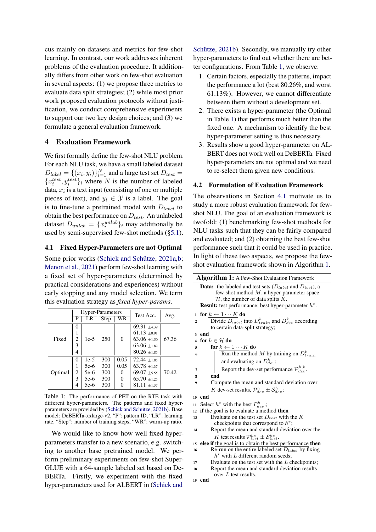cus mainly on datasets and metrics for few-shot learning. In contrast, our work addresses inherent problems of the evaluation procedure. It additionally differs from other work on few-shot evaluation in several aspects: (1) we propose three metrics to evaluate data split strategies; (2) while most prior work proposed evaluation protocols without justification, we conduct comprehensive experiments to support our two key design choices; and (3) we formulate a general evaluation framework.

## 4 Evaluation Framework

We first formally define the few-shot NLU problem. For each NLU task, we have a small labeled dataset  $D_{label} = \{(x_i, y_i)\}_{i=1}^N$  and a large test set  $D_{test} =$  ${x_i^{test}, y_i^{test}}$  where N is the number of labeled data,  $x_i$  is a text input (consisting of one or multiple pieces of text), and  $y_i \in \mathcal{Y}$  is a label. The goal is to fine-tune a pretrained model with  $D_{label}$  to obtain the best performance on  $D_{test}$ . An unlabeled dataset  $D_{unlab} = \{x_i^{unlab}\}_i$  may additionally be used by semi-supervised few-shot methods ([§5.1\)](#page-6-1).

## <span id="page-2-1"></span>4.1 Fixed Hyper-Parameters are not Optimal

Some prior works [\(Schick and Schütze,](#page-10-0) [2021a,](#page-10-0)[b;](#page-10-1) [Menon et al.,](#page-10-3) [2021\)](#page-10-3) perform few-shot learning with a fixed set of hyper-parameters (determined by practical considerations and experiences) without early stopping and any model selection. We term this evaluation strategy as *fixed hyper-params*.

<span id="page-2-0"></span>

|         |          | <b>Hyper-Parameters</b> |      |          | Test Acc.        | Avg.  |
|---------|----------|-------------------------|------|----------|------------------|-------|
|         | Р        | LR                      | Step | WR       |                  |       |
|         | $\theta$ |                         |      |          | $69.31 \pm 4.39$ |       |
| Fixed   | 1        |                         |      |          | $61.13 \pm 0.91$ |       |
|         | 2        | $1e-5$                  | 250  | $\theta$ | $63.06 \pm 1.50$ | 67.36 |
|         | 3        |                         |      |          | $63.06 \pm 1.82$ |       |
|         | 4        |                         |      |          | $80.26 \pm 1.85$ |       |
|         | 0        | $1e-5$                  | 300  | 0.05     | $72.44 \pm 1.85$ |       |
|         | 1        | $5e-6$                  | 300  | 0.05     | $63.78 \pm 1.37$ |       |
| Optimal | 2        | $5e-6$                  | 300  | 0        | $69.07 + 5.55$   | 70.42 |
|         | 3        | 5e-6                    | 300  | $\theta$ | $65.70 \pm 1.25$ |       |
|         | 4        | $5e-6$                  | 300  | O        | $81.11 \pm 1.37$ |       |

Table 1: The performance of PET on the RTE task with different hyper-parameters. The patterns and fixed hyperparameters are provided by [\(Schick and Schütze,](#page-10-1) [2021b\)](#page-10-1). Base model: DeBERTa-xxlarge-v2, "P": pattern ID, "LR": learning rate, "Step": number of training steps, "WR": warm-up ratio.

We would like to know how well fixed hyperparameters transfer to a new scenario, e.g. switching to another base pretrained model. We perform preliminary experiments on few-shot Super-GLUE with a 64-sample labeled set based on De-BERTa. Firstly, we experiment with the fixed hyper-parameters used for ALBERT in [\(Schick and](#page-10-1)

[Schütze,](#page-10-1) [2021b\)](#page-10-1). Secondly, we manually try other hyper-parameters to find out whether there are better configurations. From Table [1,](#page-2-0) we observe:

- 1. Certain factors, especially the patterns, impact the performance a lot (best 80.26%, and worst 61.13%). However, we cannot differentiate between them without a development set.
- 2. There exists a hyper-parameter (the Optimal in Table [1\)](#page-2-0) that performs much better than the fixed one. A mechanism to identify the best hyper-parameter setting is thus necessary.
- 3. Results show a good hyper-parameter on AL-BERT does not work well on DeBERTa. Fixed hyper-parameters are not optimal and we need to re-select them given new conditions.

### <span id="page-2-3"></span>4.2 Formulation of Evaluation Framework

The observations in Section [4.1](#page-2-1) motivate us to study a more robust evaluation framework for fewshot NLU. The goal of an evaluation framework is twofold: (1) benchmarking few-shot methods for NLU tasks such that they can be fairly compared and evaluated; and (2) obtaining the best few-shot performance such that it could be used in practice. In light of these two aspects, we propose the fewshot evaluation framework shown in Algorithm [1.](#page-2-2)

<span id="page-2-2"></span>

|              | <b>Algorithm 1:</b> A Few-Shot Evaluation Framework                                                                                                                                                                             |
|--------------|---------------------------------------------------------------------------------------------------------------------------------------------------------------------------------------------------------------------------------|
|              | <b>Data:</b> the labeled and test sets $(D_{label}$ and $D_{test}$ ), a<br>few-shot method $M$ , a hyper-parameter space<br>$H$ , the number of data splits K.<br><b>Result:</b> test performance; best hyper-parameter $h^*$ . |
| $\mathbf{1}$ | for $k \leftarrow 1 \cdots K$ do                                                                                                                                                                                                |
| 2            | Divide $D_{label}$ into $D_{train}^k$ and $D_{dev}^k$ according                                                                                                                                                                 |
|              | to certain data-split strategy;                                                                                                                                                                                                 |
| 3            | end                                                                                                                                                                                                                             |
| 4            | for $h \in \mathcal{H}$ do                                                                                                                                                                                                      |
| 5            | for $k \leftarrow 1 \cdots K$ do                                                                                                                                                                                                |
| 6            | Run the method M by training on $D_{train}^k$                                                                                                                                                                                   |
|              | and evaluating on $D_{den}^k$ ;                                                                                                                                                                                                 |
| 7            | Report the dev-set performance $\mathcal{P}_{dev}^{h,k}$ .                                                                                                                                                                      |
| 8            | end                                                                                                                                                                                                                             |
| 9            | Compute the mean and standard deviation over                                                                                                                                                                                    |
|              | K dev-set results, $\mathcal{P}_{dev}^{h} \pm \mathcal{S}_{dev}^{h}$ ;                                                                                                                                                          |
| 10           | end                                                                                                                                                                                                                             |
| 11           | Select $h^*$ with the best $P_{dev}^h$ ;                                                                                                                                                                                        |
| 12           | if the goal is to evaluate a method then                                                                                                                                                                                        |
| 13           | Evaluate on the test set $D_{test}$ with the K                                                                                                                                                                                  |
|              | checkpoints that correspond to $h^*$ ;                                                                                                                                                                                          |
| 14           | Report the mean and standard deviation over the                                                                                                                                                                                 |
|              | K test results $\mathcal{P}_{test}^{h\star} \pm \mathcal{S}_{test}^{h\star}$ .                                                                                                                                                  |
| 15           | else if the goal is to obtain the best performance then                                                                                                                                                                         |
| 16           | Re-run on the entire labeled set $D_{label}$ by fixing                                                                                                                                                                          |
|              | $h^*$ with L different random seeds;                                                                                                                                                                                            |
| 17           | Evaluate on the test set with the $L$ checkpoints;                                                                                                                                                                              |
| 18           | Report the mean and standard deviation results<br>over $L$ test results.                                                                                                                                                        |
| 19           | end                                                                                                                                                                                                                             |
|              |                                                                                                                                                                                                                                 |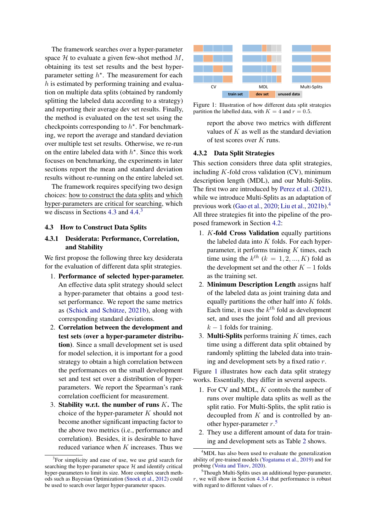The framework searches over a hyper-parameter space  $H$  to evaluate a given few-shot method  $M$ , obtaining its test set results and the best hyperparameter setting  $h^*$ . The measurement for each  $h$  is estimated by performing training and evaluation on multiple data splits (obtained by randomly splitting the labeled data according to a strategy) and reporting their average dev set results. Finally, the method is evaluated on the test set using the checkpoints corresponding to  $h^*$ . For benchmarking, we report the average and standard deviation over multiple test set results. Otherwise, we re-run on the entire labeled data with  $h^*$ . Since this work focuses on benchmarking, the experiments in later sections report the mean and standard deviation results without re-running on the entire labeled set.

The framework requires specifying two design choices: how to construct the data splits and which hyper-parameters are critical for searching, which we discuss in Sections [4.3](#page-3-0) and [4.4.](#page-5-1) [3](#page-3-1)

#### <span id="page-3-0"></span>4.3 How to Construct Data Splits

## 4.3.1 Desiderata: Performance, Correlation, and Stability

We first propose the following three key desiderata for the evaluation of different data split strategies.

- 1. Performance of selected hyper-parameter. An effective data split strategy should select a hyper-parameter that obtains a good testset performance. We report the same metrics as [\(Schick and Schütze,](#page-10-1) [2021b\)](#page-10-1), along with corresponding standard deviations.
- 2. Correlation between the development and test sets (over a hyper-parameter distribution). Since a small development set is used for model selection, it is important for a good strategy to obtain a high correlation between the performances on the small development set and test set over a distribution of hyperparameters. We report the Spearman's rank correlation coefficient for measurement.
- 3. Stability w.r.t. the number of runs  $K$ . The choice of the hyper-parameter  $K$  should not become another significant impacting factor to the above two metrics (i.e., performance and correlation). Besides, it is desirable to have reduced variance when  $K$  increases. Thus we

<span id="page-3-3"></span>

Figure 1: Illustration of how different data split strategies partition the labelled data, with  $K = 4$  and  $r = 0.5$ .

report the above two metrics with different values of  $K$  as well as the standard deviation of test scores over K runs.

#### 4.3.2 Data Split Strategies

This section considers three data split strategies, including  $K$ -fold cross validation (CV), minimum description length (MDL), and our Multi-Splits. The first two are introduced by [Perez et al.](#page-10-5) [\(2021\)](#page-10-5), while we introduce Multi-Splits as an adaptation of previous work [\(Gao et al.,](#page-10-4) [2020;](#page-10-4) [Liu et al.,](#page-10-2) [2021b\)](#page-10-2).[4](#page-3-2) All three strategies fit into the pipeline of the proposed framework in Section [4.2:](#page-2-3)

- 1. K-fold Cross Validation equally partitions the labeled data into  $K$  folds. For each hyperparameter, it performs training  $K$  times, each time using the  $k^{th}$   $(k = 1, 2, ..., K)$  fold as the development set and the other  $K - 1$  folds as the training set.
- 2. Minimum Description Length assigns half of the labeled data as joint training data and equally partitions the other half into  $K$  folds. Each time, it uses the  $k^{th}$  fold as development set, and uses the joint fold and all previous  $k-1$  folds for training.
- 3. **Multi-Splits** performs training  $K$  times, each time using a different data split obtained by randomly splitting the labeled data into training and development sets by a fixed ratio r.

Figure [1](#page-3-3) illustrates how each data split strategy works. Essentially, they differ in several aspects.

- 1. For CV and MDL, K controls the number of runs over multiple data splits as well as the split ratio. For Multi-Splits, the split ratio is decoupled from  $K$  and is controlled by another hyper-parameter  $r$ .<sup>[5](#page-3-4)</sup>
- 2. They use a different amount of data for training and development sets as Table [2](#page-4-0) shows.

<span id="page-3-1"></span><sup>&</sup>lt;sup>3</sup>For simplicity and ease of use, we use grid search for searching the hyper-parameter space  $H$  and identify critical hyper-parameters to limit its size. More complex search methods such as Bayesian Optimization [\(Snoek et al.,](#page-10-16) [2012\)](#page-10-16) could be used to search over larger hyper-parameter spaces.

<span id="page-3-2"></span><sup>&</sup>lt;sup>4</sup>MDL has also been used to evaluate the generalization ability of pre-trained models [\(Yogatama et al.,](#page-11-5) [2019\)](#page-11-5) and for probing [\(Voita and Titov,](#page-10-17) [2020\)](#page-10-17).

<span id="page-3-4"></span> $5$ Though Multi-Splits uses an additional hyper-parameter, r, we will show in Section [4.3.4](#page-4-1) that performance is robust with regard to different values of r.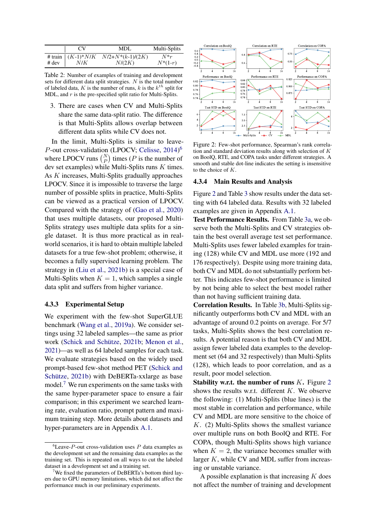<span id="page-4-0"></span>

|         | CV  | MDL                                    | Multi-Splits |
|---------|-----|----------------------------------------|--------------|
|         |     | # train $(K-1)*N/K$ $N/2+N*(k-1)/(2K)$ | $N^*r$       |
| $#$ dev | N/K | N/(2K)                                 | $N^*(1-r)$   |

Table 2: Number of examples of training and development sets for different data split strategies.  $N$  is the total number of labeled data, K is the number of runs, k is the  $k^{th}$  split for MDL, and  $r$  is the pre-specified split ratio for Multi-Splits.

3. There are cases when CV and Multi-Splits share the same data-split ratio. The difference is that Multi-Splits allows overlap between different data splits while CV does not.

In the limit, Multi-Splits is similar to leave-P-out cross-validation (LPOCV; [Celisse,](#page-9-4) [2014\)](#page-9-4)<sup>[6](#page-4-2)</sup> where LPOCV runs  $\binom{N}{P}$  times (*P* is the number of dev set examples) while Multi-Splits runs  $K$  times. As K increases, Multi-Splits gradually approaches LPOCV. Since it is impossible to traverse the large number of possible splits in practice, Multi-Splits can be viewed as a practical version of LPOCV. Compared with the strategy of [\(Gao et al.,](#page-10-4) [2020\)](#page-10-4) that uses multiple datasets, our proposed Multi-Splits strategy uses multiple data splits for a single dataset. It is thus more practical as in realworld scenarios, it is hard to obtain multiple labeled datasets for a true few-shot problem; otherwise, it becomes a fully supervised learning problem. The strategy in [\(Liu et al.,](#page-10-2) [2021b\)](#page-10-2) is a special case of Multi-Splits when  $K = 1$ , which samples a single data split and suffers from higher variance.

#### <span id="page-4-5"></span>4.3.3 Experimental Setup

We experiment with the few-shot SuperGLUE benchmark [\(Wang et al.,](#page-10-18) [2019a\)](#page-10-18). We consider settings using 32 labeled samples—the same as prior work [\(Schick and Schütze,](#page-10-1) [2021b;](#page-10-1) [Menon et al.,](#page-10-3) [2021\)](#page-10-3)—as well as 64 labeled samples for each task. We evaluate strategies based on the widely used prompt-based few-shot method PET [\(Schick and](#page-10-1) [Schütze,](#page-10-1) [2021b\)](#page-10-1) with DeBERTa-xxlarge as base model.<sup>[7](#page-4-3)</sup> We run experiments on the same tasks with the same hyper-parameter space to ensure a fair comparison; in this experiment we searched learning rate, evaluation ratio, prompt pattern and maximum training step. More details about datasets and hyper-parameters are in Appendix [A.1.](#page-12-0)

<span id="page-4-4"></span>

Figure 2: Few-shot performance, Spearman's rank correlation and standard deviation results along with selection of K on BoolQ, RTE, and COPA tasks under different strategies. A smooth and stable dot-line indicates the setting is insensitive to the choice of K.

#### 4.3.4 Main Results and Analysis

Figure [2](#page-4-4) and Table [3](#page-5-2) show results under the data setting with 64 labeled data. Results with 32 labeled examples are given in Appendix [A.1.](#page-12-0)

Test Performance Results. From Table [3a,](#page-5-2) we observe both the Multi-Splits and CV strategies obtain the best overall average test set performance. Multi-Splits uses fewer labeled examples for training (128) while CV and MDL use more (192 and 176 respectively). Despite using more training data, both CV and MDL do not substantially perform better. This indicates few-shot performance is limited by not being able to select the best model rather than not having sufficient training data.

Correlation Results. In Table [3b,](#page-5-2) Multi-Splits significantly outperforms both CV and MDL with an advantage of around 0.2 points on average. For 5/7 tasks, Multi-Splits shows the best correlation results. A potential reason is that both CV and MDL assign fewer labeled data examples to the development set (64 and 32 respectively) than Multi-Splits (128), which leads to poor correlation, and as a result, poor model selection.

**Stability w.r.t. the number of runs**  $K$ **.** Figure [2](#page-4-4) shows the results w.r.t. different  $K$ . We observe the following: (1) Multi-Splits (blue lines) is the most stable in correlation and performance, while CV and MDL are more sensitive to the choice of K. (2) Multi-Splits shows the smallest variance over multiple runs on both BoolQ and RTE. For COPA, though Multi-Splits shows high variance when  $K = 2$ , the variance becomes smaller with larger  $K$ , while CV and MDL suffer from increasing or unstable variance.

A possible explanation is that increasing  $K$  does not affect the number of training and development

<span id="page-4-2"></span><span id="page-4-1"></span> ${}^{6}$ Leave-P-out cross-validation uses P data examples as the development set and the remaining data examples as the training set. This is repeated on all ways to cut the labeled dataset in a development set and a training set.

<span id="page-4-3"></span>We fixed the parameters of DeBERTa's bottom third layers due to GPU memory limitations, which did not affect the performance much in our preliminary experiments.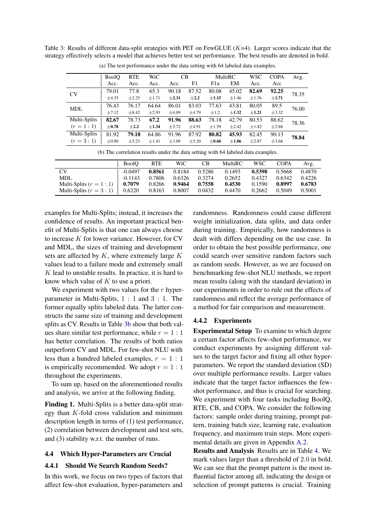<span id="page-5-2"></span>Table 3: Results of different data-split strategies with PET on FewGLUE  $(K=4)$ . Larger scores indicate that the strategy effectively selects a model that achieves better test set performance. The best results are denoted in bold.

|              | <b>BoolO</b> | <b>RTE</b> | WiC        | CB         |            |            | MultiRC    |            | <b>COPA</b> | Avg.  |
|--------------|--------------|------------|------------|------------|------------|------------|------------|------------|-------------|-------|
|              | Acc.         | Acc.       | Acc.       | Acc.       | F1         | F1a        | EM.        | Acc.       | Acc         |       |
| <b>CV</b>    | 79.01        | 77.8       | 65.3       | 90.18      | 87.52      | 80.08      | 45.02      | 82.69      | 92.25       | 78.35 |
|              | ±4.35        | ±2.25      | $\pm 1.71$ | $\pm 2.31$ | $\pm 2.2$  | $\pm 1.15$ | $\pm 1.46$ | $\pm 1.76$ | $\pm 1.71$  |       |
| <b>MDL</b>   | 76.43        | 76.17      | 64.64      | 86.01      | 83.03      | 77.63      | 43.81      | 80.05      | 89.5        | 76.00 |
|              | $\pm 7.12$   | $\pm 8.42$ | $\pm 2.93$ | $\pm 4.09$ | ±4.79      | ±1.2       | $\pm 1.32$ | $\pm 1.21$ | $\pm$ 3.32  |       |
| Multi-Splits | 82.67        | 78.73      | 67.2       | 91.96      | 88.63      | 78.18      | 42.79      | 80.53      | 88.62       | 78.36 |
| $(r = 1:1)$  | $\pm 0.78$   | $\pm 2.2$  | $\pm 1.34$ | $\pm$ 3.72 | $\pm 4.91$ | ±1.59      | $\pm 2.42$ | $\pm 1.82$ | $\pm 2.88$  |       |
| Multi-Splits | 81.92        | 79.18      | 64.86      | 91.96      | 87.92      | 80.82      | 45.93      | 82.45      | 90.13       | 78.84 |
| $(r = 3:1)$  | $\pm 0.90$   | $\pm$ 5.23 | $\pm 1.41$ | $\pm 3.09$ | $\pm$ 5.20 | $\pm 0.60$ | $\pm 1.06$ | $\pm 2.87$ | $\pm 3.68$  |       |

(a) The test performance under the data setting with 64 labeled data examples.

(b) The correlation results under the data setting with 64 labeled data examples.

|                            | <b>BoolO</b> | <b>RTE</b> | WiC    | CВ     | <b>MultiRC</b> | WSC    | <b>COPA</b> | Avg.   |
|----------------------------|--------------|------------|--------|--------|----------------|--------|-------------|--------|
| <b>CV</b>                  | $-0.0497$    | 0.8561     | 0.8184 | 0.5286 | 0.1493         | 0.5398 | 0.5668      | 0.4870 |
| <b>MDL</b>                 | $-0.1143$    | 0.7806     | 0.6326 | 0.3274 | 0.2652         | 0.4327 | 0.6342      | 0.4226 |
| Multi-Splits $(r = 1 : 1)$ | 0.7079       | 0.8266     | 0.9464 | 0.7558 | 0.4530         | 0.1590 | 0.8997      | 0.6783 |
| Multi-Splits $(r = 3 : 1)$ | 0.6220       | 0.8163     | 0.8007 | 0.0432 | 0.4470         | 0.2662 | 0.5049      | 0.5001 |

examples for Multi-Splits; instead, it increases the confidence of results. An important practical benefit of Multi-Splits is that one can always choose to increase K for lower variance. However, for CV and MDL, the sizes of training and development sets are affected by  $K$ , where extremely large  $K$ values lead to a failure mode and extremely small  $K$  lead to unstable results. In practice, it is hard to know which value of  $K$  to use a priori.

We experiment with two values for the  $r$  hyperparameter in Multi-Splits, 1 : 1 and 3 : 1. The former equally splits labeled data. The latter constructs the same size of training and development splits as CV. Results in Table [3b](#page-5-2) show that both values share similar test performance, while  $r = 1 : 1$ has better correlation. The results of both ratios outperform CV and MDL. For few-shot NLU with less than a hundred labeled examples,  $r = 1 : 1$ is empirically recommended. We adopt  $r = 1 : 1$ throughout the experiments.

To sum up, based on the aforementioned results and analysis, we arrive at the following finding.

<span id="page-5-0"></span>Finding 1. Multi-Splits is a better data-split strategy than K-fold cross validation and minimum description length in terms of (1) test performance, (2) correlation between development and test sets, and (3) stability w.r.t. the number of runs.

### <span id="page-5-1"></span>4.4 Which Hyper-Parameters are Crucial

#### 4.4.1 Should We Search Random Seeds?

In this work, we focus on two types of factors that affect few-shot evaluation, hyper-parameters and randomness. Randomness could cause different weight initialization, data splits, and data order during training. Empirically, how randomness is dealt with differs depending on the use case. In order to obtain the best possible performance, one could search over sensitive random factors such as random seeds. However, as we are focused on benchmarking few-shot NLU methods, we report mean results (along with the standard deviation) in our experiments in order to rule out the effects of randomness and reflect the average performance of a method for fair comparison and measurement.

## 4.4.2 Experiments

Experimental Setup To examine to which degree a certain factor affects few-shot performance, we conduct experiments by assigning different values to the target factor and fixing all other hyperparameters. We report the standard deviation (SD) over multiple performance results. Larger values indicate that the target factor influences the fewshot performance, and thus is crucial for searching. We experiment with four tasks including BoolQ, RTE, CB, and COPA. We consider the following factors: sample order during training, prompt pattern, training batch size, learning rate, evaluation frequency, and maximum train steps. More experimental details are given in Appendix [A.2.](#page-12-1)

Results and Analysis Results are in Table [4.](#page-6-2) We mark values larger than a threshold of 2.0 in bold. We can see that the prompt pattern is the most influential factor among all, indicating the design or selection of prompt patterns is crucial. Training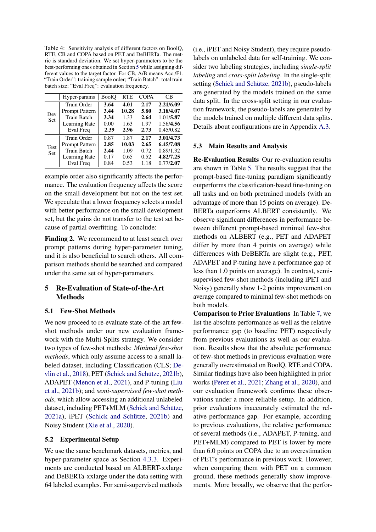<span id="page-6-2"></span>Table 4: Sensitivity analysis of different factors on BoolQ, RTE, CB and COPA based on PET and DeBERTa. The metric is standard deviation. We set hyper-parameters to be the best-performing ones obtained in Section [5](#page-6-3) while assigning different values to the target factor. For CB, A/B means Acc./F1. "Train Order": training sample order; "Train Batch": total train batch size; "Eval Freq": evaluation frequency.

|            | Hyper-params          | <b>BoolO</b> | <b>RTE</b> | <b>COPA</b> | CВ        |
|------------|-----------------------|--------------|------------|-------------|-----------|
|            | Train Order           | 3.64         | 4.01       | 2.17        | 2.21/6.09 |
|            | <b>Prompt Pattern</b> | 3.44         | 10.28      | 5.80        | 3.18/4.07 |
| Dev<br>Set | <b>Train Batch</b>    | 3.34         | 1.33       | 2.64        | 1.01/5.87 |
|            | Learning Rate         | 0.00         | 1.63       | 1.97        | 1.56/4.56 |
|            | Eval Freq             | 2.39         | 2.96       | 2.73        | 0.45/0.82 |
|            | Train Order           | 0.87         | 1.87       | 2.17        | 3.01/4.73 |
| Test       | <b>Prompt Pattern</b> | 2.85         | 10.03      | 2.65        | 6.45/7.08 |
| Set        | <b>Train Batch</b>    | 2.44         | 1.09       | 0.72        | 0.89/1.32 |
|            | Learning Rate         | 0.17         | 0.65       | 0.52        | 4.82/7.25 |
|            | Eval Freq             | 0.84         | 0.53       | 1.18        | 0.77/2.07 |

example order also significantly affects the performance. The evaluation frequency affects the score on the small development but not on the test set. We speculate that a lower frequency selects a model with better performance on the small development set, but the gains do not transfer to the test set because of partial overfitting. To conclude:

<span id="page-6-0"></span>Finding 2. We recommend to at least search over prompt patterns during hyper-parameter tuning, and it is also beneficial to search others. All comparison methods should be searched and compared under the same set of hyper-parameters.

# <span id="page-6-3"></span>5 Re-Evaluation of State-of-the-Art Methods

## <span id="page-6-1"></span>5.1 Few-Shot Methods

We now proceed to re-evaluate state-of-the-art fewshot methods under our new evaluation framework with the Multi-Splits strategy. We consider two types of few-shot methods: *Minimal few-shot methods*, which only assume access to a small labeled dataset, including Classification (CLS; [De](#page-10-10)[vlin et al.,](#page-10-10) [2018\)](#page-10-10), PET [\(Schick and Schütze,](#page-10-1) [2021b\)](#page-10-1), ADAPET [\(Menon et al.,](#page-10-3) [2021\)](#page-10-3), and P-tuning [\(Liu](#page-10-2) [et al.,](#page-10-2) [2021b\)](#page-10-2); and *semi-supervised few-shot methods*, which allow accessing an additional unlabeled dataset, including PET+MLM [\(Schick and Schütze,](#page-10-0) [2021a\)](#page-10-0), iPET [\(Schick and Schütze,](#page-10-1) [2021b\)](#page-10-1) and Noisy Student [\(Xie et al.,](#page-11-1) [2020\)](#page-11-1).

### <span id="page-6-4"></span>5.2 Experimental Setup

We use the same benchmark datasets, metrics, and hyper-parameter space as Section [4.3.3.](#page-4-5) Experiments are conducted based on ALBERT-xxlarge and DeBERTa-xxlarge under the data setting with 64 labeled examples. For semi-supervised methods

(i.e., iPET and Noisy Student), they require pseudolabels on unlabeled data for self-training. We consider two labeling strategies, including *single-split labeling* and *cross-split labeling*. In the single-split setting [\(Schick and Schütze,](#page-10-1) [2021b\)](#page-10-1), pseudo-labels are generated by the models trained on the same data split. In the cross-split setting in our evaluation framework, the pseudo-labels are generated by the models trained on multiple different data splits. Details about configurations are in Appendix [A.3.](#page-12-2)

## 5.3 Main Results and Analysis

Re-Evaluation Results Our re-evaluation results are shown in Table [5.](#page-7-0) The results suggest that the prompt-based fine-tuning paradigm significantly outperforms the classification-based fine-tuning on all tasks and on both pretrained models (with an advantage of more than 15 points on average). De-BERTa outperforms ALBERT consistently. We observe significant differences in performance between different prompt-based minimal few-shot methods on ALBERT (e.g., PET and ADAPET differ by more than 4 points on average) while differences with DeBERTa are slight (e.g., PET, ADAPET and P-tuning have a performance gap of less than 1.0 points on average). In contrast, semisupervised few-shot methods (including iPET and Noisy) generally show 1-2 points improvement on average compared to minimal few-shot methods on both models.

Comparison to Prior Evaluations In Table [7,](#page-8-1) we list the absolute performance as well as the relative performance gap (to baseline PET) respectively from previous evaluations as well as our evaluation. Results show that the absolute performance of few-shot methods in previouss evaluation were generally overestimated on BoolQ, RTE and COPA. Similar findings have also been highlighted in prior works [\(Perez et al.,](#page-10-5) [2021;](#page-10-5) [Zhang et al.,](#page-11-0) [2020\)](#page-11-0), and our evaluation framework confirms these observations under a more reliable setup. In addition, prior evaluations inaccurately estimated the relative performance gap. For example, according to previous evaluations, the relative performance of several methods (i.e., ADAPET, P-tuning, and PET+MLM) compared to PET is lower by more than 6.0 points on COPA due to an overestimation of PET's performance in previous work. However, when comparing them with PET on a common ground, these methods generally show improvements. More broadly, we observe that the perfor-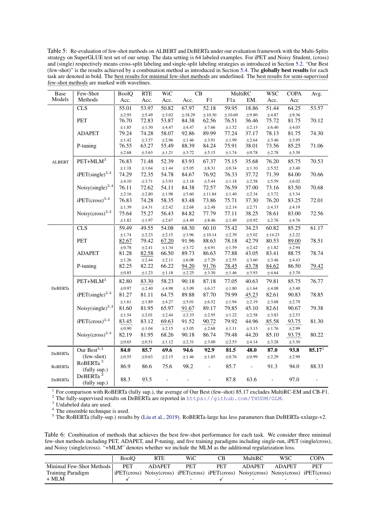<span id="page-7-0"></span>Table 5: Re-evaluation of few-shot methods on ALBERT and DeBERTa under our evaluation framework with the Multi-Splits strategy on SuperGLUE test set of our setup. The data setting is 64 labeled examples. For iPET and Noisy Student, (cross) and (single) respectively means cross-split labeling and single-split labeling strategies as introduced in Section [5.2.](#page-6-4) "Our Best (few-shot)" is the results achieved by a combination method as introduced in Section [5.4.](#page-8-2) The globally best results for each task are denoted in bold. The <u>best results for minimal few-shot methods</u> are underlined. The best results for semi-supervised few-shot methods are marked with wavelines.

| <b>Base</b>    | Few-Shot                          | <b>BoolQ</b> | <b>RTE</b> | WiC        |            | $\overline{\text{CB}}$ | MultiRC          |                          | <b>WSC</b>               | <b>COPA</b> | Avg.        |
|----------------|-----------------------------------|--------------|------------|------------|------------|------------------------|------------------|--------------------------|--------------------------|-------------|-------------|
| Models         | Methods                           | Acc.         | Acc.       | Acc.       | Acc.       | ${\rm F}1$             | F <sub>1</sub> a | EM.                      | Acc.                     | Acc         |             |
|                | <b>CLS</b>                        | 55.01        | 53.97      | 50.82      | 67.97      | 52.18                  | 59.95            | 18.86                    | 51.44                    | 64.25       | 53.57       |
|                |                                   | $\pm 2.95$   | $\pm$ 5.49 | $\pm 3.02$ | ±18.29     | $\pm 10.30$            | $\pm 10.69$      | $\pm 9.80$               | $\pm 4.87$               | $\pm$ 9.36  |             |
|                | PET                               | 76.70        | 72.83      | 53.87      | 84.38      | 62.56                  | 76.51            | 36.46                    | 75.72                    | 81.75       | 70.12       |
|                |                                   | $\pm 1.85$   | $\pm 1.30$ | $\pm 4.47$ | $\pm 4.47$ | ±7.66                  | $\pm 1.52$       | $\pm 2.13$               | $\pm 6.40$               | $\pm 4.03$  |             |
|                | <b>ADAPET</b>                     | 79.24        | 74.28      | 58.07      | 92.86      | 89.99                  | 77.24            | 37.17                    | 78.13                    | 81.75       | 74.30       |
|                |                                   | $\pm 1.42$   | $\pm$ 3.57 | $\pm 2.96$ | $\pm 1.46$ | $\pm 3.91$             | $\pm 1.99$       | $\pm 2.64$               | $\pm$ 3.46               | $\pm$ 3.95  |             |
|                | P-tuning                          | 76.55        | 63.27      | 55.49      | 88.39      | 84.24                  | 75.91            | 38.01                    | 73.56                    | 85.25       | 71.06       |
|                |                                   | $\pm 2.68$   | $\pm 3.63$ | $\pm 1.21$ | $\pm$ 3.72 | $\pm$ 5.15             | $\pm 1.74$       | $\pm 0.78$               | $\pm 2.78$               | $\pm$ 3.30  |             |
| <b>ALBERT</b>  | $\rm{PET+MLM}^3$                  | 76.83        | 71.48      | 52.39      | 83.93      | 67.37                  | 75.15            | 35.68                    | 76.20                    | 85.75       | 70.53       |
|                |                                   | $\pm 1.18$   | $\pm 1.64$ | $\pm 1.44$ | $\pm$ 5.05 | $\pm 8.31$             | $\pm 0.34$       | $\pm 1.10$               | $\pm$ 5.52               | $\pm$ 3.40  |             |
|                | $i$ PET(single) <sup>3,4</sup>    | 74.29        | 72.35      | 54.78      | 84.67      | 76.92                  | 76.33            | 37.72                    | 71.39                    | 84.00       | 70.66       |
|                |                                   | $\pm 4.10$   | $\pm 3.71$ | $\pm 3.93$ | $\pm 3.18$ | $\pm 5.44$             | $\pm 1.18$       | $\pm 2.58$               | $\pm 5.59$               | $\pm 6.02$  |             |
|                | Noisy $(single)^{3,4}$            | 76.11        | 72.62      | 54.11      | 84.38      | 72.57                  | 76.59            | 37.00                    | 73.16                    | 83.50       | 70.68       |
|                |                                   | $\pm 2.16$   | $\pm 2.80$ | $\pm 1.98$ | $\pm$ 5.60 | ±11.84                 | $\pm 1.40$       | $\pm 2.34$               | $\pm$ 3.72               | $\pm$ 3.34  |             |
|                | ${\rm iPET (cross)}^{3,4}$        | 76.83        | 74.28      | 58.35      | 83.48      | 73.86                  | 75.71            | 37.30                    | 76.20                    | 83.25       | 72.01       |
|                |                                   | $\pm 1.39$   | $\pm 4.31$ | $\pm 2.42$ | $\pm 2.68$ | $\pm 2.48$             | $\pm 2.14$       | $\pm 2.71$               | $\pm 4.33$               | $\pm 4.19$  |             |
|                | Noisy(cross) <sup>3,4</sup>       | 75.64        | 75.27      | 56.43      | 84.82      | 77.79                  | 77.11            | 38.25                    | 78.61                    | 83.00       | 72.56       |
|                |                                   | $\pm 1.82$   | $\pm 1.97$ | $\pm 2.67$ | ±4.49      | $\pm 8.46$             | $\pm 1.49$       | $\pm 0.92$               | $\pm 2.76$               | $\pm 4.76$  |             |
|                | CLS                               | 59.49        | 49.55      | 54.08      | 68.30      | 60.10                  | 75.42            | 34.23                    | 60.82                    | 85.25       | 61.17       |
|                |                                   | $\pm 1.74$   | $\pm 2.23$ | $\pm 2.15$ | $\pm 3.96$ | ±10.14                 | $\pm 2.39$       | $\pm$ 5.02               | ±14.23                   | $\pm 2.22$  |             |
|                | PET                               | 82.67        | 79.42      | 67.20      | 91.96      | 88.63                  | 78.18            | 42.79                    | 80.53                    | 89.00       | 78.51       |
|                |                                   | $\pm 0.78$   | $\pm 2.41$ | $\pm 1.34$ | $\pm$ 3.72 | $\pm 4.91$             | $\pm 1.59$       | ±2.42                    | $\pm 1.82$               | $\pm 2.94$  |             |
|                | <b>ADAPET</b>                     | 81.28        | 82.58      | 66.50      | 89.73      | 86.63                  | 77.88            | 43.05                    | 83.41                    | 88.75       | 78.74       |
|                |                                   | $\pm 1.26$   | $\pm 2.44$ | $\pm 2.11$ | $\pm 6.08$ | $\pm 7.29$             | $\pm 2.55$       | $\pm 3.60$               | $\pm$ 3.46               | $\pm 4.43$  |             |
|                | P-tuning                          | 82.25        | 82.22      | 66.22      | 94.20      | 91.76                  | 78.45            | 43.78                    | 84.62                    | 86.50       | 79.42       |
|                |                                   | $\pm 0.85$   | $\pm 1.23$ | $\pm 1.18$ | $\pm 2.25$ | $\pm 3.30$             | $\pm 1.46$       | $\pm$ 3.93               | $\pm 4.64$               | $\pm 3.70$  |             |
|                | $\mathrm{PET}\text{+MLM}^3$       | 82.80        | 83.30      | 58.23      | 90.18      | 87.18                  | 77.05            | 40.63                    | 79.81                    | 85.75       | 76.77       |
| DeBERTa        |                                   | $\pm 0.97$   | $\pm 2.40$ | $\pm 4.98$ | $\pm 3.09$ | $\pm 6.17$             | $\pm 1.80$       | $\pm 1.64$               | $\pm 4.08$               | $\pm$ 3.40  |             |
|                | $i$ PET(single) <sup>3,4</sup>    | 81.27        | 81.11      | 64.75      | 89.88      | 87.70                  | 79.99            | 45.23                    | 82.61                    | 90.83       | 78.85       |
|                |                                   | $\pm 1.61$   | $\pm 1.89$ | $\pm 4.27$ | $\pm$ 5.01 | $\pm$ 6.52             | $\pm 1.94$       | $\pm 2.19$               | $\pm 3.68$               | $\pm 2.79$  |             |
|                | Noisy $(single)^{3,4}$            | 81.60        | 81.95      | 65.97      | 91.67      | 89.17                  | 79.85            | 45.10                    | 82.61                    | 90.67       | 79.38       |
|                |                                   | $\pm 1.54$   | $\pm 2.01$ | $\pm 2.44$ | $\pm 2.33$ | $\pm 2.95$             | $\pm 1.22$       | $\pm 2.58$               | $\pm$ 3.83               | $\pm 2.53$  |             |
|                | $i$ PET(cross) <sup>3,4</sup>     | 83.45        | 83.12      | 69.63      | 91.52      | 90.72                  | 79.92            | 44.96                    | 85.58                    | 93.75       | 81.30       |
|                |                                   | $\pm 0.90$   | $\pm 1.04$ | $\pm 2.15$ | $\pm3.05$  | $\pm 2.68$             | $\pm 1.11$       | $\pm 3.13$               | $\pm 1.76$               | $\pm 2.99$  |             |
|                | Noisy $(cross)^{3,4}$             | 82.19        | 81.95      | 68.26      | 90.18      | 86.74                  | 79.48            | 44.20                    | 85.10                    | 93.75       | 80.22       |
|                |                                   | $\pm 0.65$   | $\pm 0.51$ | $\pm 1.12$ | $\pm 2.31$ | $\pm 3.00$             | $\pm 2.53$       | $\pm 4.14$               | $\pm3.28$                | $\pm 3.30$  |             |
|                | Our $\overline{{\rm Best}^{3,4}}$ | 84.0         | 85.7       | 69.6       | 94.6       | 92.9                   | 81.5             | 48.0                     | 87.0                     | 93.8        | $85.17^{1}$ |
| <b>DeBERTa</b> | (few-shot)                        | $\pm 0.55$   | $\pm 0.63$ | $\pm 2.15$ | $\pm 1.46$ | $\pm 1.85$             | $\pm 0.76$       | $\pm 0.99$               | $\pm 2.29$               | $\pm 2.99$  |             |
|                | RoBERTa <sup>5</sup>              |              |            |            |            |                        |                  |                          |                          |             |             |
| RoBERTa        | (fully sup.)                      | 86.9         | 86.6       | 75.6       | 98.2       | $\qquad \qquad -$      | 85.7             | $\overline{\phantom{0}}$ | 91.3                     | 94.0        | 88.33       |
|                | DeBERTa <sup>2</sup>              | 88.3         | 93.5       |            |            |                        |                  | 63.6                     |                          | 97.0        |             |
| <b>DeBERTa</b> | (fully sup.)                      |              |            |            |            |                        | 87.8             |                          | $\overline{\phantom{a}}$ |             |             |

1 For comparison with RoBERTa (fully sup.), the average of Our Best (few-shot) 85.17 excludes MultiRC-EM and CB-F1.

<sup>2</sup> The fully-supervised results on DeBERTa are reported in <https://github.com/THUDM/GLM>.

<sup>3</sup> Unlabeled data are used.

<sup>4</sup> The ensemble technique is used.

<sup>5</sup> The RoBERTa (fully-sup.) results by [\(Liu et al.,](#page-10-7) [2019\)](#page-10-7). RoBERTa-large has less parameters than DeBERTa-xxlarge-v2.

<span id="page-7-1"></span>Table 6: Combination of methods that achieves the best few-shot performance for each task. We consider three minimal few-shot methods including PET, ADAPET, and P-tuning, and five training paradigms including single-run, iPET (single/cross), and Noisy (single/cross). "+MLM" denotes whether we include the MLM as the additional regularization loss.

|                          | <b>BoolO</b> | <b>RTE</b>                                                                                                                                         | WiC        | CВ         | MultiRC                  | WSC           | COPA       |
|--------------------------|--------------|----------------------------------------------------------------------------------------------------------------------------------------------------|------------|------------|--------------------------|---------------|------------|
| Minimal Few-Shot Methods | <b>PET</b>   | <b>ADAPET</b>                                                                                                                                      | <b>PET</b> | <b>PET</b> | <b>ADAPET</b>            | <b>ADAPET</b> | <b>PET</b> |
| <b>Training Paradigm</b> |              | $\text{PET}(\text{cross})$ Noisy(cross) $\text{PET}(\text{cross})$ $\text{PET}(\text{cross})$ Noisy(cross) Noisy(cross) $\text{PET}(\text{cross})$ |            |            |                          |               |            |
| $+$ MLM                  |              |                                                                                                                                                    |            |            | $\overline{\phantom{0}}$ |               |            |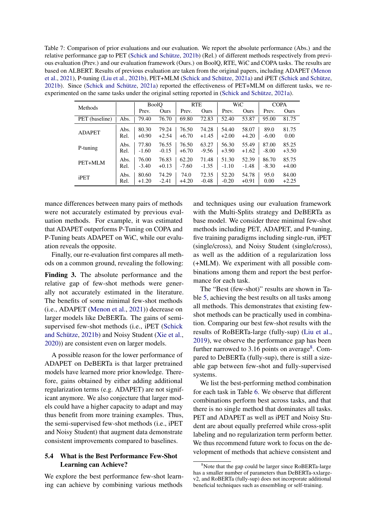<span id="page-8-1"></span>Table 7: Comparison of prior evaluations and our evaluation. We report the absolute performance (Abs.) and the relative performance gap to PET [\(Schick and Schütze,](#page-10-1) [2021b\)](#page-10-1) (Rel.) of different methods respectively from previous evaluation (Prev.) and our evaluation framework (Ours.) on BoolQ, RTE, WiC and COPA tasks. The results are based on ALBERT. Results of previous evaluation are taken from the original papers, including ADAPET [\(Menon](#page-10-3) [et al.,](#page-10-3) [2021\)](#page-10-3), P-tuning [\(Liu et al.,](#page-10-2) [2021b\)](#page-10-2), PET+MLM [\(Schick and Schütze,](#page-10-0) [2021a\)](#page-10-0) and iPET [\(Schick and Schütze,](#page-10-1) [2021b\)](#page-10-1). Since [\(Schick and Schütze,](#page-10-0) [2021a\)](#page-10-0) reported the effectiveness of PET+MLM on different tasks, we reexperimented on the same tasks under the original setting reported in [\(Schick and Schütze,](#page-10-0) [2021a\)](#page-10-0).

| Methods        |      |         | <b>BoolO</b> |         | <b>RTE</b> |         | WiC     |         | <b>COPA</b> |
|----------------|------|---------|--------------|---------|------------|---------|---------|---------|-------------|
|                |      | Prev.   | Ours         | Prev.   | Ours       | Prev.   | Ours    | Prev.   | Ours        |
| PET (baseline) | Abs. | 79.40   | 76.70        | 69.80   | 72.83      | 52.40   | 53.87   | 95.00   | 81.75       |
| <b>ADAPET</b>  | Abs. | 80.30   | 79.24        | 76.50   | 74.28      | 54.40   | 58.07   | 89.0    | 81.75       |
|                | Rel. | $+0.90$ | $+2.54$      | $+6.70$ | $+1.45$    | $+2.00$ | $+4.20$ | $-6.00$ | 0.00        |
| P-tuning       | Abs. | 77.80   | 76.55        | 76.50   | 63.27      | 56.30   | 55.49   | 87.00   | 85.25       |
|                | Rel. | $-1.60$ | $-0.15$      | $+6.70$ | $-9.56$    | $+3.90$ | $+1.62$ | $-8.00$ | $+3.50$     |
| PET+MLM        | Abs. | 76.00   | 76.83        | 62.20   | 71.48      | 51.30   | 52.39   | 86.70   | 85.75       |
|                | Rel. | $-3.40$ | $+0.13$      | $-7.60$ | $-1.35$    | $-1.10$ | $-1.48$ | $-8.30$ | $+4.00$     |
| iPET           | Abs. | 80.60   | 74.29        | 74.0    | 72.35      | 52.20   | 54.78   | 95.0    | 84.00       |
|                | Rel. | $+1.20$ | $-2.41$      | $+4.20$ | $-0.48$    | $-0.20$ | $+0.91$ | 0.00    | $+2.25$     |

mance differences between many pairs of methods were not accurately estimated by previous evaluation methods. For example, it was estimated that ADAPET outperforms P-Tuning on COPA and P-Tuning beats ADAPET on WiC, while our evaluation reveals the opposite.

Finally, our re-evaluation first compares all methods on a common ground, revealing the following:

<span id="page-8-0"></span>Finding 3. The absolute performance and the relative gap of few-shot methods were generally not accurately estimated in the literature. The benefits of some minimal few-shot methods (i.e., ADAPET [\(Menon et al.,](#page-10-3) [2021\)](#page-10-3)) decrease on larger models like DeBERTa. The gains of semisupervised few-shot methods (i.e., iPET [\(Schick](#page-10-1) [and Schütze,](#page-10-1) [2021b\)](#page-10-1) and Noisy Student [\(Xie et al.,](#page-11-1) [2020\)](#page-11-1)) are consistent even on larger models.

A possible reason for the lower performance of ADAPET on DeBERTa is that larger pretrained models have learned more prior knowledge. Therefore, gains obtained by either adding additional regularization terms (e.g. ADAPET) are not significant anymore. We also conjecture that larger models could have a higher capacity to adapt and may thus benefit from more training examples. Thus, the semi-supervised few-shot methods (i.e., iPET and Noisy Student) that augment data demonstrate consistent improvements compared to baselines.

## <span id="page-8-2"></span>5.4 What is the Best Performance Few-Shot Learning can Achieve?

We explore the best performance few-shot learning can achieve by combining various methods

and techniques using our evaluation framework with the Multi-Splits strategy and DeBERTa as base model. We consider three minimal few-shot methods including PET, ADAPET, and P-tuning, five training paradigms including single-run, iPET (single/cross), and Noisy Student (single/cross), as well as the addition of a regularization loss (+MLM). We experiment with all possible combinations among them and report the best performance for each task.

The "Best (few-shot)" results are shown in Table [5,](#page-7-0) achieving the best results on all tasks among all methods. This demonstrates that existing fewshot methods can be practically used in combination. Comparing our best few-shot results with the results of RoBERTa-large (fully-sup) [\(Liu et al.,](#page-10-7) [2019\)](#page-10-7), we observe the performance gap has been further narrowed to 3.16 points on average<sup>[8](#page-8-3)</sup>. Compared to DeBERTa (fully-sup), there is still a sizeable gap between few-shot and fully-supervised systems.

We list the best-performing method combination for each task in Table [6.](#page-7-1) We observe that different combinations perform best across tasks, and that there is no single method that dominates all tasks. PET and ADAPET as well as iPET and Noisy Student are about equally preferred while cross-split labeling and no regularization term perform better. We thus recommend future work to focus on the development of methods that achieve consistent and

<span id="page-8-3"></span><sup>&</sup>lt;sup>8</sup>Note that the gap could be larger since RoBERTa-large has a smaller number of parameters than DeBERTa-xxlargev2, and RoBERTa (fully-sup) does not incorporate additional beneficial techniques such as ensembling or self-training.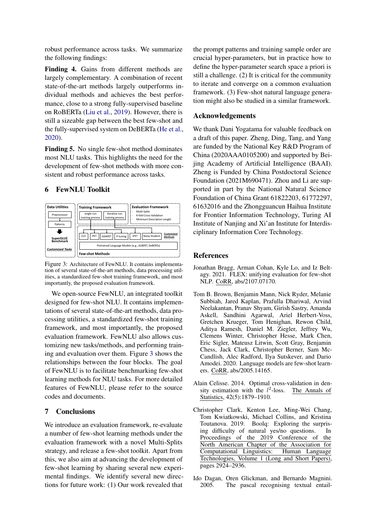robust performance across tasks. We summarize the following findings:

<span id="page-9-1"></span>Finding 4. Gains from different methods are largely complementary. A combination of recent state-of-the-art methods largely outperforms individual methods and achieves the best performance, close to a strong fully-supervised baseline on RoBERTa [\(Liu et al.,](#page-10-7) [2019\)](#page-10-7). However, there is still a sizeable gap between the best few-shot and the fully-supervised system on DeBERTa [\(He et al.,](#page-10-8) [2020\)](#page-10-8).

<span id="page-9-2"></span>Finding 5. No single few-shot method dominates most NLU tasks. This highlights the need for the development of few-shot methods with more consistent and robust performance across tasks.

# 6 FewNLU Toolkit

<span id="page-9-5"></span>

Figure 3: Architecture of FewNLU. It contains implementation of several state-of-the-art methods, data processing utilities, a standardized few-shot training framework, and most importantly, the proposed evaluation framework.

We open-source FewNLU, an integrated toolkit designed for few-shot NLU. It contains implementations of several state-of-the-art methods, data processing utilities, a standardized few-shot training framework, and most importantly, the proposed evaluation framework. FewNLU also allows customizing new tasks/methods, and performing training and evaluation over them. Figure [3](#page-9-5) shows the relationships between the four blocks. The goal of FewNLU is to facilitate benchmarking few-shot learning methods for NLU tasks. For more detailed features of FewNLU, please refer to the source codes and documents.

# 7 Conclusions

We introduce an evaluation framework, re-evaluate a number of few-shot learning methods under the evaluation framework with a novel Multi-Splits strategy, and release a few-shot toolkit. Apart from this, we also aim at advancing the development of few-shot learning by sharing several new experimental findings. We identify several new directions for future work: (1) Our work revealed that

the prompt patterns and training sample order are crucial hyper-parameters, but in practice how to define the hyper-parameter search space a priori is still a challenge. (2) It is critical for the community to iterate and converge on a common evaluation framework. (3) Few-shot natural language generation might also be studied in a similar framework.

## Acknowledgements

We thank Dani Yogatama for valuable feedback on a draft of this paper. Zheng, Ding, Tang, and Yang are funded by the National Key R&D Program of China (2020AAA0105200) and supported by Beijing Academy of Artificial Intelligence (BAAI). Zheng is Funded by China Postdoctoral Science Foundation (2021M690471). Zhou and Li are supported in part by the National Natural Science Foundation of China Grant 61822203, 61772297, 61632016 and the Zhongguancun Haihua Institute for Frontier Information Technology, Turing AI Institute of Nanjing and Xi'an Institute for Interdisciplinary Information Core Technology.

#### References

- <span id="page-9-3"></span>Jonathan Bragg, Arman Cohan, Kyle Lo, and Iz Beltagy. 2021. FLEX: unifying evaluation for few-shot NLP. CoRR, abs/2107.07170.
- <span id="page-9-0"></span>Tom B. Brown, Benjamin Mann, Nick Ryder, Melanie Subbiah, Jared Kaplan, Prafulla Dhariwal, Arvind Neelakantan, Pranav Shyam, Girish Sastry, Amanda Askell, Sandhini Agarwal, Ariel Herbert-Voss, Gretchen Krueger, Tom Henighan, Rewon Child, Aditya Ramesh, Daniel M. Ziegler, Jeffrey Wu, Clemens Winter, Christopher Hesse, Mark Chen, Eric Sigler, Mateusz Litwin, Scott Gray, Benjamin Chess, Jack Clark, Christopher Berner, Sam Mc-Candlish, Alec Radford, Ilya Sutskever, and Dario Amodei. 2020. Language models are few-shot learners. CoRR, abs/2005.14165.
- <span id="page-9-4"></span>Alain Celisse. 2014. Optimal cross-validation in density estimation with the  $l^2$ The Annals of Statistics, 42(5):1879–1910.
- <span id="page-9-6"></span>Christopher Clark, Kenton Lee, Ming-Wei Chang, Tom Kwiatkowski, Michael Collins, and Kristina Toutanova. 2019. Boolq: Exploring the surprising difficulty of natural yes/no questions. In Proceedings of the 2019 Conference of the North American Chapter of the Association for Computational Linguistics: Human Language Technologies, Volume 1 (Long and Short Papers), pages 2924–2936.
- <span id="page-9-7"></span>Ido Dagan, Oren Glickman, and Bernardo Magnini. 2005. The pascal recognising textual entail-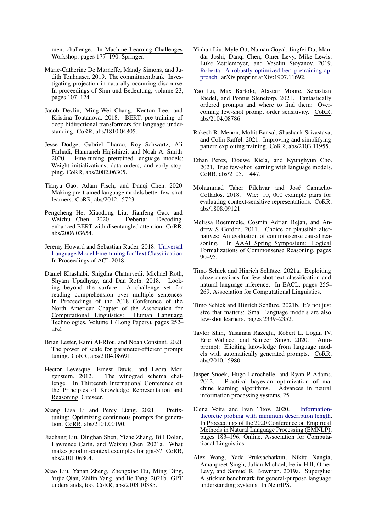ment challenge. In Machine Learning Challenges Workshop, pages 177–190. Springer.

- <span id="page-10-20"></span>Marie-Catherine De Marneffe, Mandy Simons, and Judith Tonhauser. 2019. The commitmentbank: Investigating projection in naturally occurring discourse. In proceedings of Sinn und Bedeutung, volume 23, pages 107–124.
- <span id="page-10-10"></span>Jacob Devlin, Ming-Wei Chang, Kenton Lee, and Kristina Toutanova. 2018. BERT: pre-training of deep bidirectional transformers for language understanding. CoRR, abs/1810.04805.
- <span id="page-10-6"></span>Jesse Dodge, Gabriel Ilharco, Roy Schwartz, Ali Farhadi, Hannaneh Hajishirzi, and Noah A. Smith. 2020. Fine-tuning pretrained language models: Weight initializations, data orders, and early stopping. CoRR, abs/2002.06305.
- <span id="page-10-4"></span>Tianyu Gao, Adam Fisch, and Danqi Chen. 2020. Making pre-trained language models better few-shot learners. CoRR, abs/2012.15723.
- <span id="page-10-8"></span>Pengcheng He, Xiaodong Liu, Jianfeng Gao, and Weizhu Chen. 2020. Deberta: Decodingenhanced BERT with disentangled attention. CoRR, abs/2006.03654.
- <span id="page-10-9"></span>Jeremy Howard and Sebastian Ruder. 2018. [Universal](http://arxiv.org/abs/1801.06146) [Language Model Fine-tuning for Text Classification.](http://arxiv.org/abs/1801.06146) In Proceedings of ACL 2018.
- <span id="page-10-19"></span>Daniel Khashabi, Snigdha Chaturvedi, Michael Roth, Shyam Upadhyay, and Dan Roth. 2018. Looking beyond the surface: A challenge set for reading comprehension over multiple sentences. In Proceedings of the 2018 Conference of the North American Chapter of the Association for Computational Linguistics: Human Language Technologies, Volume 1 (Long Papers), pages 252– 262.
- <span id="page-10-13"></span>Brian Lester, Rami Al-Rfou, and Noah Constant. 2021. The power of scale for parameter-efficient prompt tuning. CoRR, abs/2104.08691.
- <span id="page-10-23"></span>Hector Levesque, Ernest Davis, and Leora Morgenstern. 2012. The winograd schema chal-The winograd schema challenge. In Thirteenth International Conference on the Principles of Knowledge Representation and Reasoning. Citeseer.
- <span id="page-10-12"></span>Xiang Lisa Li and Percy Liang. 2021. Prefixtuning: Optimizing continuous prompts for generation. CoRR, abs/2101.00190.
- <span id="page-10-14"></span>Jiachang Liu, Dinghan Shen, Yizhe Zhang, Bill Dolan, Lawrence Carin, and Weizhu Chen. 2021a. What makes good in-context examples for gpt-3? CoRR, abs/2101.06804.
- <span id="page-10-2"></span>Xiao Liu, Yanan Zheng, Zhengxiao Du, Ming Ding, Yujie Qian, Zhilin Yang, and Jie Tang. 2021b. GPT understands, too. CoRR, abs/2103.10385.
- <span id="page-10-7"></span>Yinhan Liu, Myle Ott, Naman Goyal, Jingfei Du, Mandar Joshi, Danqi Chen, Omer Levy, Mike Lewis, Luke Zettlemoyer, and Veselin Stoyanov. 2019. [Roberta: A robustly optimized bert pretraining ap](https://openreview.net/pdf?id=SyxS0T4tvS)[proach.](https://openreview.net/pdf?id=SyxS0T4tvS) arXiv preprint arXiv:1907.11692.
- <span id="page-10-15"></span>Yao Lu, Max Bartolo, Alastair Moore, Sebastian Riedel, and Pontus Stenetorp. 2021. Fantastically ordered prompts and where to find them: Overcoming few-shot prompt order sensitivity. CoRR, abs/2104.08786.
- <span id="page-10-3"></span>Rakesh R. Menon, Mohit Bansal, Shashank Srivastava, and Colin Raffel. 2021. Improving and simplifying pattern exploiting training. CoRR, abs/2103.11955.
- <span id="page-10-5"></span>Ethan Perez, Douwe Kiela, and Kyunghyun Cho. 2021. True few-shot learning with language models. CoRR, abs/2105.11447.
- <span id="page-10-21"></span>Mohammad Taher Pilehvar and José Camacho-Collados. 2018. Wic: 10, 000 example pairs for evaluating context-sensitive representations. CoRR, abs/1808.09121.
- <span id="page-10-22"></span>Melissa Roemmele, Cosmin Adrian Bejan, and Andrew S Gordon. 2011. Choice of plausible alternatives: An evaluation of commonsense causal reasoning. In AAAI Spring Symposium: Logical Formalizations of Commonsense Reasoning, pages  $90 - 95.$
- <span id="page-10-0"></span>Timo Schick and Hinrich Schütze. 2021a. Exploiting cloze-questions for few-shot text classification and natural language inference. In EACL, pages 255– 269. Association for Computational Linguistics.
- <span id="page-10-1"></span>Timo Schick and Hinrich Schütze. 2021b. It's not just size that matters: Small language models are also few-shot learners. pages 2339–2352.
- <span id="page-10-11"></span>Taylor Shin, Yasaman Razeghi, Robert L. Logan IV, Eric Wallace, and Sameer Singh. 2020. Autoprompt: Eliciting knowledge from language models with automatically generated prompts. CoRR, abs/2010.15980.
- <span id="page-10-16"></span>Jasper Snoek, Hugo Larochelle, and Ryan P Adams. 2012. Practical bayesian optimization of machine learning algorithms. Advances in neural information processing systems, 25.
- <span id="page-10-17"></span>Elena Voita and Ivan Titov. 2020. [Information](https://doi.org/10.18653/v1/2020.emnlp-main.14)[theoretic probing with minimum description length.](https://doi.org/10.18653/v1/2020.emnlp-main.14) In Proceedings of the 2020 Conference on Empirical Methods in Natural Language Processing (EMNLP), pages 183–196, Online. Association for Computational Linguistics.
- <span id="page-10-18"></span>Alex Wang, Yada Pruksachatkun, Nikita Nangia, Amanpreet Singh, Julian Michael, Felix Hill, Omer Levy, and Samuel R. Bowman. 2019a. Superglue: A stickier benchmark for general-purpose language understanding systems. In NeurIPS.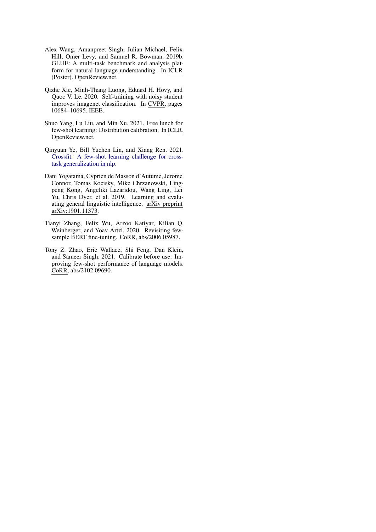- <span id="page-11-6"></span>Alex Wang, Amanpreet Singh, Julian Michael, Felix Hill, Omer Levy, and Samuel R. Bowman. 2019b. GLUE: A multi-task benchmark and analysis platform for natural language understanding. In ICLR (Poster). OpenReview.net.
- <span id="page-11-1"></span>Qizhe Xie, Minh-Thang Luong, Eduard H. Hovy, and Quoc V. Le. 2020. Self-training with noisy student improves imagenet classification. In CVPR, pages 10684–10695. IEEE.
- <span id="page-11-2"></span>Shuo Yang, Lu Liu, and Min Xu. 2021. Free lunch for few-shot learning: Distribution calibration. In ICLR. OpenReview.net.
- <span id="page-11-4"></span>Qinyuan Ye, Bill Yuchen Lin, and Xiang Ren. 2021. [Crossfit: A few-shot learning challenge for cross](http://arxiv.org/abs/2104.08835)[task generalization in nlp.](http://arxiv.org/abs/2104.08835)
- <span id="page-11-5"></span>Dani Yogatama, Cyprien de Masson d'Autume, Jerome Connor, Tomas Kocisky, Mike Chrzanowski, Lingpeng Kong, Angeliki Lazaridou, Wang Ling, Lei Yu, Chris Dyer, et al. 2019. Learning and evaluating general linguistic intelligence. arXiv preprint arXiv:1901.11373.
- <span id="page-11-0"></span>Tianyi Zhang, Felix Wu, Arzoo Katiyar, Kilian Q. Weinberger, and Yoav Artzi. 2020. Revisiting fewsample BERT fine-tuning. CoRR, abs/2006.05987.
- <span id="page-11-3"></span>Tony Z. Zhao, Eric Wallace, Shi Feng, Dan Klein, and Sameer Singh. 2021. Calibrate before use: Improving few-shot performance of language models. CoRR, abs/2102.09690.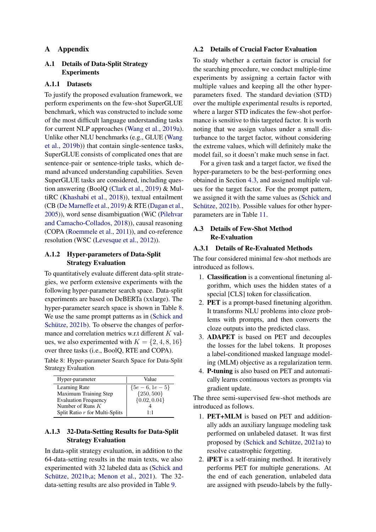## A Appendix

# <span id="page-12-0"></span>A.1 Details of Data-Split Strategy Experiments

## A.1.1 Datasets

To justify the proposed evaluation framework, we perform experiments on the few-shot SuperGLUE benchmark, which was constructed to include some of the most difficult language understanding tasks for current NLP approaches [\(Wang et al.,](#page-10-18) [2019a\)](#page-10-18). Unlike other NLU benchmarks (e.g., GLUE [\(Wang](#page-11-6) [et al.,](#page-11-6) [2019b\)](#page-11-6)) that contain single-sentence tasks, SuperGLUE consists of complicated ones that are sentence-pair or sentence-triple tasks, which demand advanced understanding capabilities. Seven SuperGLUE tasks are considered, including question answering (BoolQ [\(Clark et al.,](#page-9-6) [2019\)](#page-9-6) & MultiRC [\(Khashabi et al.,](#page-10-19) [2018\)](#page-10-19)), textual entailment (CB [\(De Marneffe et al.,](#page-10-20) [2019\)](#page-10-20) & RTE [\(Dagan et al.,](#page-9-7) [2005\)](#page-9-7)), word sense disambiguation (WiC [\(Pilehvar](#page-10-21) [and Camacho-Collados,](#page-10-21) [2018\)](#page-10-21)), causal reasoning (COPA [\(Roemmele et al.,](#page-10-22) [2011\)](#page-10-22)), and co-reference resolution (WSC [\(Levesque et al.,](#page-10-23) [2012\)](#page-10-23)).

## <span id="page-12-4"></span>A.1.2 Hyper-parameters of Data-Split Strategy Evaluation

To quantitatively evaluate different data-split strategies, we perform extensive experiments with the following hyper-parameter search space. Data-split experiments are based on DeBERTa (xxlarge). The hyper-parameter search space is shown in Table [8.](#page-12-3) We use the same prompt patterns as in [\(Schick and](#page-10-1) [Schütze,](#page-10-1) [2021b\)](#page-10-1). To observe the changes of performance and correlation metrics w.r.t different K values, we also experimented with  $K = \{2, 4, 8, 16\}$ over three tasks (i.e., BoolQ, RTE and COPA).

<span id="page-12-3"></span>Table 8: Hyper-parameter Search Space for Data-Split Strategy Evaluation

| Hyper-parameter                | Value            |  |  |  |  |
|--------------------------------|------------------|--|--|--|--|
| Learning Rate                  | ${5e-6, 1e-5}$   |  |  |  |  |
| Maximum Training Step          | ${250, 500}$     |  |  |  |  |
| <b>Evaluation Frequency</b>    | $\{0.02, 0.04\}$ |  |  |  |  |
| Number of Runs $K$             |                  |  |  |  |  |
| Split Ratio r for Multi-Splits | 1.1              |  |  |  |  |

# A.1.3 32-Data-Setting Results for Data-Split Strategy Evaluation

<span id="page-12-1"></span>In data-split strategy evaluation, in addition to the 64-data-setting results in the main texts, we also experimented with 32 labeled data as [\(Schick and](#page-10-1) [Schütze,](#page-10-1) [2021b](#page-10-1)[,a;](#page-10-0) [Menon et al.,](#page-10-3) [2021\)](#page-10-3). The 32 data-setting results are also provided in Table [9.](#page-13-0)

## A.2 Details of Crucial Factor Evaluation

To study whether a certain factor is crucial for the searching procedure, we conduct multiple-time experiments by assigning a certain factor with multiple values and keeping all the other hyperparameters fixed. The standard deviation (STD) over the multiple experimental results is reported, where a larger STD indicates the few-shot performance is sensitive to this targeted factor. It is worth noting that we assign values under a small disturbance to the target factor, without considering the extreme values, which will definitely make the model fail, so it doesn't make much sense in fact.

For a given task and a target factor, we fixed the hyper-parameters to be the best-performing ones obtained in Section [4.3,](#page-3-0) and assigned multiple values for the target factor. For the prompt pattern, we assigned it with the same values as [\(Schick and](#page-10-1) [Schütze,](#page-10-1) [2021b\)](#page-10-1). Possible values for other hyperparameters are in Table [11.](#page-13-1)

## <span id="page-12-2"></span>A.3 Details of Few-Shot Method Re-Evaluation

## A.3.1 Details of Re-Evaluated Methods

The four considered minimal few-shot methods are introduced as follows.

- 1. Classification is a conventional finetuning algorithm, which uses the hidden states of a special [CLS] token for classification.
- 2. PET is a prompt-based finetuning algorithm. It transforms NLU problems into cloze problems with prompts, and then converts the cloze outputs into the predicted class.
- 3. ADAPET is based on PET and decouples the losses for the label tokens. It proposes a label-conditioned masked language modeling (MLM) objective as a regularization term.
- 4. P-tuning is also based on PET and automatically learns continuous vectors as prompts via gradient update.

The three semi-supervised few-shot methods are introduced as follows.

- 1. PET+MLM is based on PET and additionally adds an auxiliary language modeling task performed on unlabeled dataset. It was first proposed by [\(Schick and Schütze,](#page-10-0) [2021a\)](#page-10-0) to resolve catastrophic forgetting.
- 2. iPET is a self-training method. It iteratively performs PET for multiple generations. At the end of each generation, unlabeled data are assigned with pseudo-labels by the fully-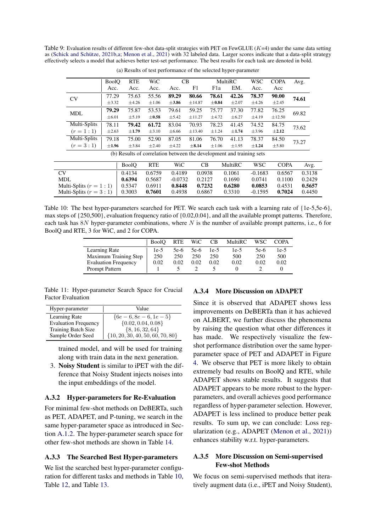<span id="page-13-0"></span>Table 9: Evaluation results of different few-shot data-split strategies with PET on FewGLUE  $(K=4)$  under the same data setting as [\(Schick and Schütze,](#page-10-1) [2021b,](#page-10-1)[a;](#page-10-0) [Menon et al.,](#page-10-3) [2021\)](#page-10-3) with 32 labeled data. Larger scores indicate that a data-split strategy effectively selects a model that achieves better test-set performance. The best results for each task are denoted in bold.

|            |                            | <b>BoolQ</b> | <b>RTE</b>   | WiC        | CB         |            |            | MultiRC                                                              | <b>WSC</b> | COPA        | Avg.   |
|------------|----------------------------|--------------|--------------|------------|------------|------------|------------|----------------------------------------------------------------------|------------|-------------|--------|
|            |                            | Acc.         | Acc.         | Acc.       | Acc.       | F1         | F1a        | EM.                                                                  | Acc.       | Acc         |        |
|            | CV                         | 77.29        | 75.63        | 55.56      | 89.29      | 80.66      | 78.61      | 42.26                                                                | 78.37      | 90.00       | 74.61  |
|            |                            | $\pm$ 3.32   | $\pm 4.26$   | $\pm 1.06$ | $\pm 3.86$ | ±14.87     | $\pm 0.84$ | $\pm 2.07$                                                           | $\pm 4.26$ | $\pm 2.45$  |        |
|            | <b>MDL</b>                 | 79.29        | 75.87        | 53.53      | 79.61      | 59.25      | 75.77      | 37.30                                                                | 77.82      | 76.25       | 69.82  |
|            |                            | $\pm 6.01$   | $\pm$ 5.19   | $\pm 0.58$ | $\pm$ 5.42 | ±11.27     | $\pm 4.72$ | $\pm 6.27$                                                           | $\pm 4.19$ | ±12.50      |        |
|            | Multi-Splits               | 78.11        | 79.42        | 61.72      | 83.04      | 70.93      | 78.23      | 41.45                                                                | 74.52      | 84.75       | 73.62  |
|            | $(r = 1:1)$                | $\pm 2.63$   | $\pm 1.79$   | $\pm 3.10$ | ±6.66      | ±13.40     | ±1.24      | $\pm 1.74$                                                           | $\pm$ 3.96 | $\pm 2.12$  |        |
|            | Multi-Splits               | 79.18        | 75.00        | 52.90      | 87.05      | 81.06      | 76.70      | 41.13                                                                | 78.37      | 84.50       | 73.27  |
|            | $(r = 3:1)$                | $\pm 1.96$   | $\pm$ 3.84   | $\pm 2.40$ | $\pm 4.22$ | $\pm 8.14$ | $\pm 1.06$ | $\pm 1.95$                                                           | $\pm 1.24$ | $\pm$ 5.80  |        |
|            |                            |              |              |            |            |            |            | (b) Results of correlation between the development and training sets |            |             |        |
|            |                            |              | <b>BoolO</b> | <b>RTE</b> | WiC        | CB         |            | MultiRC                                                              | <b>WSC</b> | <b>COPA</b> | Avg.   |
| CV         |                            |              | 0.4134       | 0.6759     | 0.4189     | 0.0938     |            | 0.1061                                                               | $-0.1683$  | 0.6567      | 0.3138 |
| <b>MDL</b> |                            |              | 0.6394       | 0.5687     | $-0.0732$  | 0.2127     |            | 0.1690                                                               | 0.0741     | 0.1100      | 0.2429 |
|            | Multi-Splits $(r = 1 : 1)$ |              | 0.5347       | 0.6911     | 0.8448     | 0.7232     |            | 0.6280                                                               | 0.0853     | 0.4531      | 0.5657 |
|            | Multi-Splits $(r = 3 : 1)$ |              | 0.3003       | 0.7601     | 0.4938     | 0.6867     |            | 0.3310                                                               | $-0.1595$  | 0.7024      | 0.4450 |

(a) Results of test performance of the selected hyper-parameter

<span id="page-13-2"></span>Table 10: The best hyper-parameters searched for PET. We search each task with a learning rate of {1e-5,5e-6}, max steps of {250,500}, evaluation frequency ratio of {0.02,0.04}, and all the available prompt patterns. Therefore, each task has  $8N$  hyper-parameter combinations, where N is the number of available prompt patterns, i.e., 6 for BoolQ and RTE, 3 for WiC, and 2 for COPA.

|                             | <b>BoolO</b> | RTE  | WiC    | <b>CB</b> | MultiRC | WSC  | COPA   |
|-----------------------------|--------------|------|--------|-----------|---------|------|--------|
| Learning Rate               | 1e-5         | 5e-6 | $5e-6$ | $1e-5$    | $1e-5$  | 5e-6 | $1e-5$ |
| Maximum Training Step       | 250          | 250  | 250    | 250       | 500     | 250  | 500    |
| <b>Evaluation Frequency</b> | 0.02         | 0.02 | 0.02   | 0.02      | 0.02    | 0.02 | 0.02   |
| Prompt Pattern              |              |      |        |           |         |      |        |

<span id="page-13-1"></span>Table 11: Hyper-parameter Search Space for Crucial Factor Evaluation

| Hyper-parameter             | Value                                |
|-----------------------------|--------------------------------------|
| Learning Rate               | ${6e-6, 8e-6, 1e-5}$                 |
| <b>Evaluation Frequency</b> | $\{0.02, 0.04, 0.08\}$               |
| Training Batch Size         | $\{8, 16, 32, 64\}$                  |
| Sample Order Seed           | $\{10, 20, 30, 40, 50, 60, 70, 80\}$ |

trained model, and will be used for training along with train data in the next generation.

3. Noisy Student is similar to iPET with the difference that Noisy Student injects noises into the input embeddings of the model.

### A.3.2 Hyper-parameters for Re-Evaluation

For minimal few-shot methods on DeBERTa, such as PET, ADAPET, and P-tuning, we search in the same hyper-parameter space as introduced in Section [A.1.2.](#page-12-4) The hyper-parameter search space for other few-shot methods are shown in Table [14.](#page-15-0)

#### A.3.3 The Searched Best Hyper-parameters

We list the searched best hyper-parameter configuration for different tasks and methods in Table [10,](#page-13-2) Table [12,](#page-14-0) and Table [13.](#page-14-1)

## A.3.4 More Discussion on ADAPET

Since it is observed that ADAPET shows less improvements on DeBERTa than it has achieved on ALBERT, we further discuss the phenomena by raising the question what other differences it has made. We respectively visualize the fewshot performance distribution over the same hyperparameter space of PET and ADAPET in Figure [4.](#page-14-2) We observe that PET is more likely to obtain extremely bad results on BoolQ and RTE, while ADAPET shows stable results. It suggests that ADAPET appears to be more robust to the hyperparameters, and overall achieves good performance regardless of hyper-parameter selection. However, ADAPET is less inclined to produce better peak results. To sum up, we can conclude: Loss regularization (e.g., ADAPET [\(Menon et al.,](#page-10-3) [2021\)](#page-10-3)) enhances stability w.r.t. hyper-parameters.

## A.3.5 More Discussion on Semi-supervised Few-shot Methods

We focus on semi-supervised methods that iteratively augment data (i.e., iPET and Noisy Student),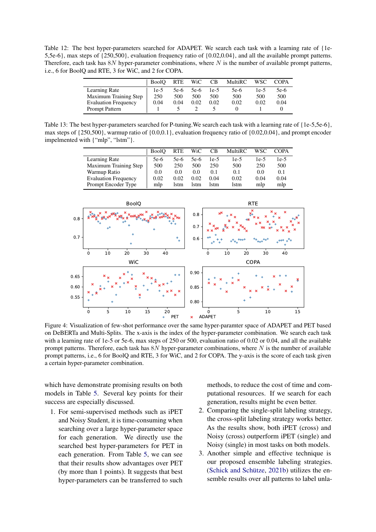<span id="page-14-0"></span>Table 12: The best hyper-parameters searched for ADAPET. We search each task with a learning rate of {1e-5,5e-6}, max steps of {250,500}, evaluation frequency ratio of {0.02,0.04}, and all the available prompt patterns. Therefore, each task has  $8N$  hyper-parameter combinations, where N is the number of available prompt patterns, i.e., 6 for BoolQ and RTE, 3 for WiC, and 2 for COPA.

|                             | <b>BoolO</b> | <b>RTE</b> | WiC    | <b>CB</b> | <b>MultiRC</b> | WSC    | <b>COPA</b> |
|-----------------------------|--------------|------------|--------|-----------|----------------|--------|-------------|
| Learning Rate               | 1e-5         | 5e-6       | $5e-6$ | 1e-5      | 5e-6           | $1e-5$ | $5e-6$      |
| Maximum Training Step       | 250          | 500        | 500    | 500       | 500            | 500    | 500         |
| <b>Evaluation Frequency</b> | 0.04         | 0.04       | 0.02   | 0.02      | 0.02           | 0.02   | 0.04        |
| Prompt Pattern              |              |            |        |           |                |        |             |
|                             |              |            |        |           |                |        |             |

<span id="page-14-1"></span>Table 13: The best hyper-parameters searched for P-tuning.We search each task with a learning rate of {1e-5,5e-6}, max steps of {250,500}, warmup ratio of {0.0,0.1}, evaluation frequency ratio of {0.02,0.04}, and prompt encoder impelmented with {"mlp", "lstm"}.

|                             | <b>BoolO</b> | <b>RTE</b> | WiC  | <b>CB</b> | MultiRC | WSC           | <b>COPA</b> |
|-----------------------------|--------------|------------|------|-----------|---------|---------------|-------------|
| Learning Rate               | 5e-6         | 5e-6       | 5e-6 | $1e-5$    | $1e-5$  | $1e-5$        | $1e-5$      |
| Maximum Training Step       | 500          | 250        | 500  | 250       | 500     | 250           | 500         |
| Warmup Ratio                | 0.0          | 0.0        | 0.0  | 0.1       | 0.1     | $0.0^{\circ}$ | 0.1         |
| <b>Evaluation Frequency</b> | 0.02         | 0.02       | 0.02 | 0.04      | 0.02    | 0.04          | 0.04        |
| Prompt Encoder Type         | mlp          | lstm       | lstm | lstm      | lstm    | mlp           | mlp         |

<span id="page-14-2"></span>

Figure 4: Visualization of few-shot performance over the same hyper-paramter space of ADAPET and PET based on DeBERTa and Multi-Splits. The x-axis is the index of the hyper-parameter combination. We search each task with a learning rate of 1e-5 or 5e-6, max steps of 250 or 500, evaluation ratio of 0.02 or 0.04, and all the available prompt patterns. Therefore, each task has 8N hyper-parameter combinations, where N is the number of available prompt patterns, i.e., 6 for BoolQ and RTE, 3 for WiC, and 2 for COPA. The y-axis is the score of each task given a certain hyper-parameter combination.

which have demonstrate promising results on both models in Table [5.](#page-7-0) Several key points for their success are especially discussed.

1. For semi-supervised methods such as iPET and Noisy Student, it is time-consuming when searching over a large hyper-parameter space for each generation. We directly use the searched best hyper-parameters for PET in each generation. From Table [5,](#page-7-0) we can see that their results show advantages over PET (by more than 1 points). It suggests that best hyper-parameters can be transferred to such methods, to reduce the cost of time and computational resources. If we search for each generation, results might be even better.

- 2. Comparing the single-split labeling strategy, the cross-split labeling strategy works better. As the results show, both iPET (cross) and Noisy (cross) outperform iPET (single) and Noisy (single) in most tasks on both models.
- 3. Another simple and effective technique is our proposed ensemble labeling strategies. [\(Schick and Schütze,](#page-10-1) [2021b\)](#page-10-1) utilizes the ensemble results over all patterns to label unla-